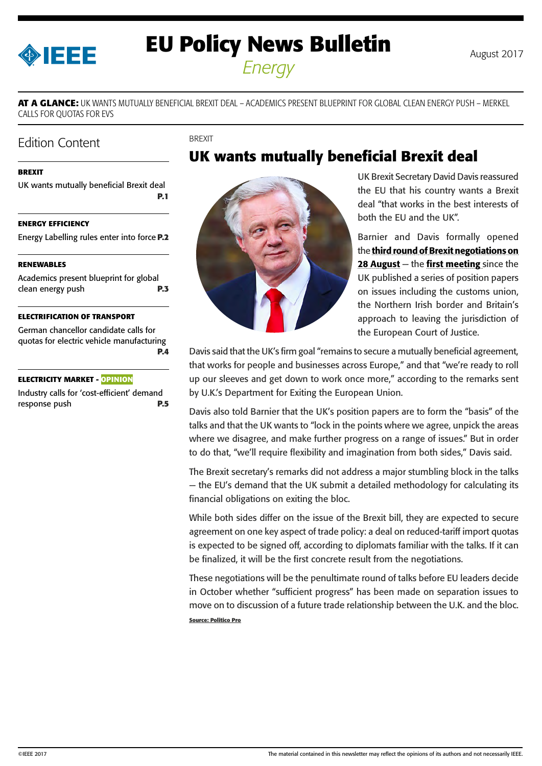<span id="page-0-0"></span>

# **EU Policy News Bulletin** August 2017

*Energy*

**AT A GLANCE:** UK WANTS MUTUALLY BENEFICIAL BREXIT DEAL – ACADEMICS PRESENT BLUEPRINT FOR GLOBAL CLEAN ENERGY PUSH – MERKEL CALLS FOR QUOTAS FOR EVS

BREXIT

### Edition Content

#### **BREXIT**

UK wants mutually beneficial Brexit deal **P.1**

#### **[ENERGY EFFICIENCY](#page-1-0)**

[Energy Labelling rules enter into force](#page-1-0) **P.2**

#### **[RENEWABLES](#page-2-0)**

[Academics present blueprint for global](#page-2-0)  [clean energy push](#page-2-0) **P.3**

#### **[ELECTRIFICATION OF TRANSPORT](#page-3-0)**

[German chancellor candidate calls for](#page-3-0)  [quotas for electric vehicle manufacturing](#page-3-0) **[P.4](#page-3-0)**

#### **[ELECTRICITY MARKET - OPINION](#page-4-0)**

[Industry calls for 'cost-efficient' demand](#page-4-0)  [response push](#page-4-0) **P.5**



## **UK wants mutually beneficial Brexit deal**

UK Brexit Secretary David Davis reassured the EU that his country wants a Brexit deal "that works in the best interests of both the EU and the UK".

Barnier and Davis formally opened the third round of Brexit negotiations on [28 August](https://ec.europa.eu/commission/brexit-negotiations_en)  $-$  the [first meeting](https://ec.europa.eu/commission/sites/beta-political/files/agenda_3rd_round_0.pdf) since the UK published a series of position papers on issues including the customs union, the Northern Irish border and Britain's approach to leaving the jurisdiction of the European Court of Justice.

Davis said that the UK's firm goal "remains to secure a mutually beneficial agreement, that works for people and businesses across Europe," and that "we're ready to roll up our sleeves and get down to work once more," according to the remarks sent by U.K.'s Department for Exiting the European Union.

Davis also told Barnier that the UK's position papers are to form the "basis" of the talks and that the UK wants to "lock in the points where we agree, unpick the areas where we disagree, and make further progress on a range of issues." But in order to do that, "we'll require flexibility and imagination from both sides," Davis said.

The Brexit secretary's remarks did not address a major stumbling block in the talks — the EU's demand that the UK submit a detailed methodology for calculating its financial obligations on exiting the bloc.

While both sides differ on the issue of the Brexit bill, they are expected to secure agreement on one key aspect of trade policy: a deal on reduced-tariff import quotas is expected to be signed off, according to diplomats familiar with the talks. If it can be finalized, it will be the first concrete result from the negotiations.

These negotiations will be the penultimate round of talks before EU leaders decide in October whether "sufficient progress" has been made on separation issues to move on to discussion of a future trade relationship between the U.K. and the bloc. **Source: Politico Pro**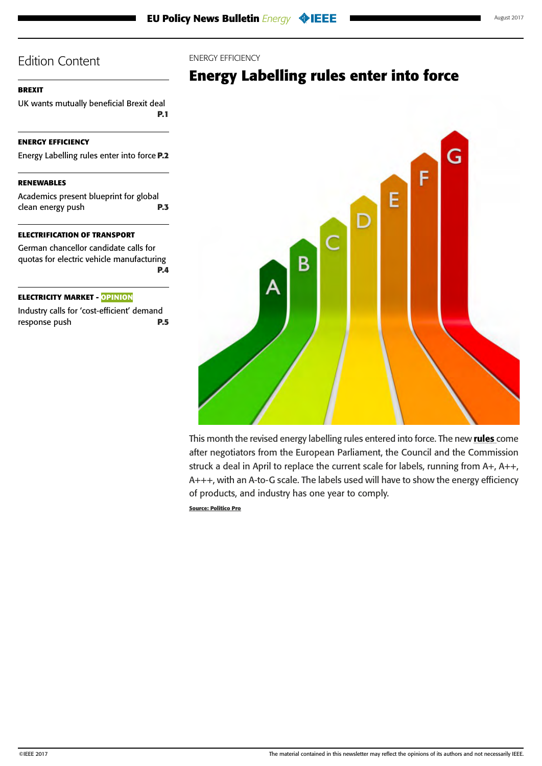#### <span id="page-1-0"></span>**[BREXIT](#page-0-0)**

[UK wants mutually beneficial Brexit deal](#page-0-0) **[P.1](#page-0-0)**

#### **ENERGY EFFICIENCY**

Energy Labelling rules enter into force **P.2**

#### **[RENEWABLES](#page-2-0)**

[Academics present blueprint for global](#page-2-0)  [clean energy push](#page-2-0) **P.3**

#### **[ELECTRIFICATION OF TRANSPORT](#page-3-0)**

[German chancellor candidate calls for](#page-3-0)  [quotas for electric vehicle manufacturing](#page-3-0) **[P.4](#page-3-0)**

#### **[ELECTRICITY MARKET - OPINION](#page-4-0)**

[Industry calls for 'cost-efficient' demand](#page-4-0)  [response push](#page-4-0) **P.5**

#### ENERGY EFFICIENCY

## **Energy Labelling rules enter into force**



This month the revised energy labelling [rules](http://data.consilium.europa.eu/doc/document/PE-19-2017-INIT/en/pdf) entered into force. The new rules come after negotiators from the European Parliament, the Council and the Commission struck a deal in April to replace the current scale for labels, running from A+, A++, A+++, with an A-to-G scale. The labels used will have to show the energy efficiency of products, and industry has one year to comply.

**Source: Politico Pro**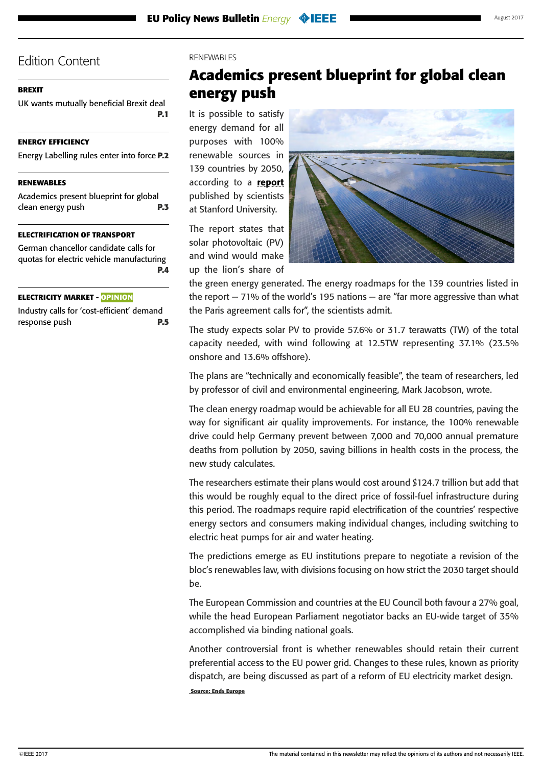#### <span id="page-2-0"></span>**[BREXIT](#page-0-0)**

[UK wants mutually beneficial Brexit deal](#page-0-0) **[P.1](#page-0-0)**

#### **[ENERGY EFFICIENCY](#page-1-0)**

[Energy Labelling rules enter into force](#page-1-0) **P.2**

#### **RENEWABLES**

Academics present blueprint for global clean energy push **P.3**

#### **[ELECTRIFICATION OF TRANSPORT](#page-3-0)**

[German chancellor candidate calls for](#page-3-0)  [quotas for electric vehicle manufacturing](#page-3-0) **[P.4](#page-3-0)**

#### **[ELECTRICITY MARKET - OPINION](#page-4-0)**

[Industry calls for 'cost-efficient' demand](#page-4-0)  [response push](#page-4-0) **P.5**

#### RENEWABLES

## **Academics present blueprint for global clean energy push**

It is possible to satisfy energy demand for all purposes with 100% renewable sources in 139 countries by 2050, according to a [report](http://web.stanford.edu/group/efmh/jacobson/Articles/I/CountriesWWS.pdf) published by scientists at Stanford University.

The report states that solar photovoltaic (PV) and wind would make up the lion's share of



the green energy generated. The energy roadmaps for the 139 countries listed in the report  $-71\%$  of the world's 195 nations  $-$  are "far more aggressive than what the Paris agreement calls for", the scientists admit.

The study expects solar PV to provide 57.6% or 31.7 terawatts (TW) of the total capacity needed, with wind following at 12.5TW representing 37.1% (23.5% onshore and 13.6% offshore).

The plans are "technically and economically feasible", the team of researchers, led by professor of civil and environmental engineering, Mark Jacobson, wrote.

The clean energy roadmap would be achievable for all EU 28 countries, paving the way for significant air quality improvements. For instance, the 100% renewable drive could help Germany prevent between 7,000 and 70,000 annual premature deaths from pollution by 2050, saving billions in health costs in the process, the new study calculates.

The researchers estimate their plans would cost around \$124.7 trillion but add that this would be roughly equal to the direct price of fossil-fuel infrastructure during this period. The roadmaps require rapid electrification of the countries' respective energy sectors and consumers making individual changes, including switching to electric heat pumps for air and water heating.

The predictions emerge as EU institutions prepare to negotiate a revision of the bloc's renewables law, with divisions focusing on how strict the 2030 target should be.

The European Commission and countries at the EU Council both favour a 27% goal, while the head European Parliament negotiator backs an EU-wide target of 35% accomplished via binding national goals.

Another controversial front is whether renewables should retain their current preferential access to the EU power grid. Changes to these rules, known as priority dispatch, are being discussed as part of a reform of EU electricity market design.  **Source: Ends Europe**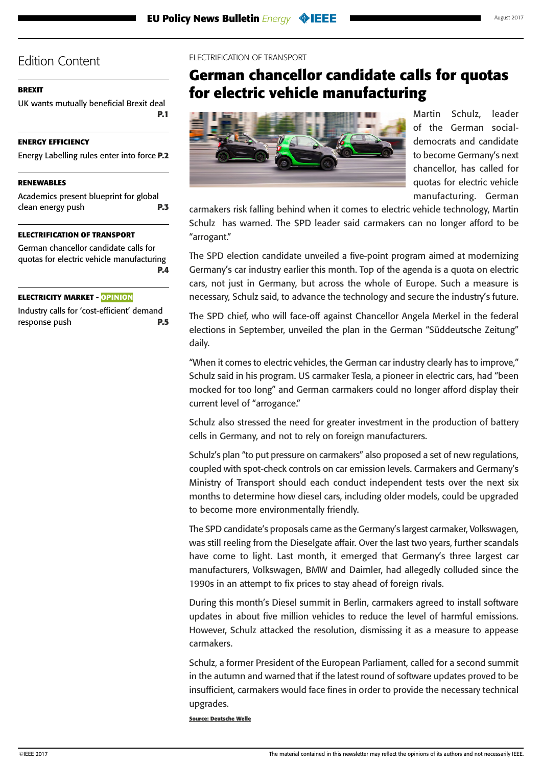#### <span id="page-3-0"></span>**[BREXIT](#page-0-0)**

[UK wants mutually beneficial Brexit deal](#page-0-0) **[P.1](#page-0-0)**

#### **[ENERGY EFFICIENCY](#page-1-0)**

[Energy Labelling rules enter into force](#page-1-0) **P.2**

#### **[RENEWABLES](#page-2-0)**

[Academics present blueprint for global](#page-2-0)  [clean energy push](#page-2-0) **P.3**

#### **ELECTRIFICATION OF TRANSPORT**

German chancellor candidate calls for quotas for electric vehicle manufacturing **P.4**

#### **[ELECTRICITY MARKET - OPINION](#page-4-0)**

[Industry calls for 'cost-efficient' demand](#page-4-0)  [response push](#page-4-0) **P.5**

#### ELECTRIFICATION OF TRANSPORT

## **German chancellor candidate calls for quotas for electric vehicle manufacturing**



Martin Schulz, leader of the German socialdemocrats and candidate to become Germany's next chancellor, has called for quotas for electric vehicle manufacturing. German

carmakers risk falling behind when it comes to electric vehicle technology, Martin Schulz has warned. The SPD leader said carmakers can no longer afford to be "arrogant."

The SPD election candidate unveiled a five-point program aimed at modernizing Germany's car industry earlier this month. Top of the agenda is a quota on electric cars, not just in Germany, but across the whole of Europe. Such a measure is necessary, Schulz said, to advance the technology and secure the industry's future.

The SPD chief, who will face-off against Chancellor Angela Merkel in the federal elections in September, unveiled the plan in the German "Süddeutsche Zeitung" daily.

"When it comes to electric vehicles, the German car industry clearly has to improve," Schulz said in his program. US carmaker Tesla, a pioneer in electric cars, had "been mocked for too long" and German carmakers could no longer afford display their current level of "arrogance."

Schulz also stressed the need for greater investment in the production of battery cells in Germany, and not to rely on foreign manufacturers.

Schulz's plan "to put pressure on carmakers" also proposed a set of new regulations, coupled with spot-check controls on car emission levels. Carmakers and Germany's Ministry of Transport should each conduct independent tests over the next six months to determine how diesel cars, including older models, could be upgraded to become more environmentally friendly.

The SPD candidate's proposals came as the Germany's largest carmaker, Volkswagen, was still reeling from the Dieselgate affair. Over the last two years, further scandals have come to light. Last month, it emerged that Germany's three largest car manufacturers, Volkswagen, BMW and Daimler, had allegedly colluded since the 1990s in an attempt to fix prices to stay ahead of foreign rivals.

During this month's Diesel summit in Berlin, carmakers agreed to install software updates in about five million vehicles to reduce the level of harmful emissions. However, Schulz attacked the resolution, dismissing it as a measure to appease carmakers.

Schulz, a former President of the European Parliament, called for a second summit in the autumn and warned that if the latest round of software updates proved to be insufficient, carmakers would face fines in order to provide the necessary technical upgrades.

**Source: Deutsche Welle**